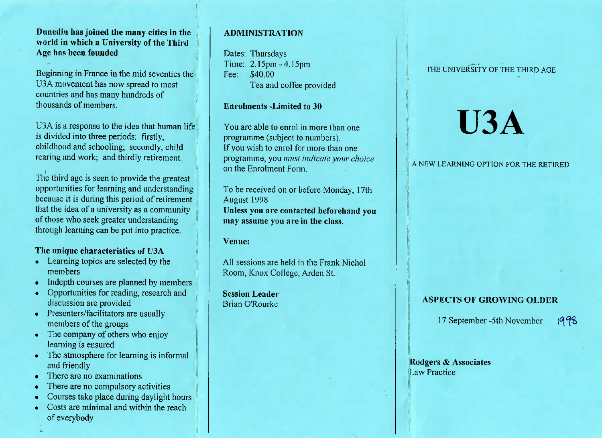## Dunedin has joined the many cities in the world in which a University of the ThirdAge has been founded

Beginning in France in the mid seventies theU3A movement has now spread to mostcountries and has many hundreds ofthousands of members.

U3A is a response to the idea that human lifeis divided into three periods: firstly, childhood and schooling; secondly, childrearing and work; and thirdly retirement.

 The third age is seen to provide the greatest opportunities for learning and understanding because it is during this period of retirement that the idea of a university as a communityof those who seek greater understandingthrough learning can be put into practice.

## The unique characteristics of U3A

- » Learning topics are selected by themembers
- Indepth courses are planned by members
- Opportunities for reading, research anddiscussion are provided
- Presenters/facilitators are usually members of the groups
- The company of others who enjoy learning is ensured
- The atmosphere for learning is informal and friendly
- There are no examinations
- $\blacksquare$  There are no compulsory activities
- Courses take place during daylight hours
- Costs are minimal and within the reachof everybody

## **ADMINISTRATION**

Dates: Thursdays Time: 2.15pm - 4.15pmFee: \$40.00Fea and coffee provided

#### Enrolments -Limited to 30

You are able to enrol in more than oneprogramme (subject to numbers). If you wish to enrol for more than one programme, you *must imlicute your choice*on the Enrolment Form.

To be received on or before Monday, 17thAugust 1998 Unless you are contacted beforehand youmay assume you are in the class.

Venue:

All sessions are held in the Frank NicholRoom, Knox College, Arden St.

Session LeaderBrian O'Rourke

## THE UNIVERSITY OF THE THIRD AGE

# **U3A**

A NEW LEARNING OPTION FOR THE RETIRED

## ASPECTS OF GROWING OLDER

1 7 September -5th November1998

Rodgers & AssociatesLaw Practice